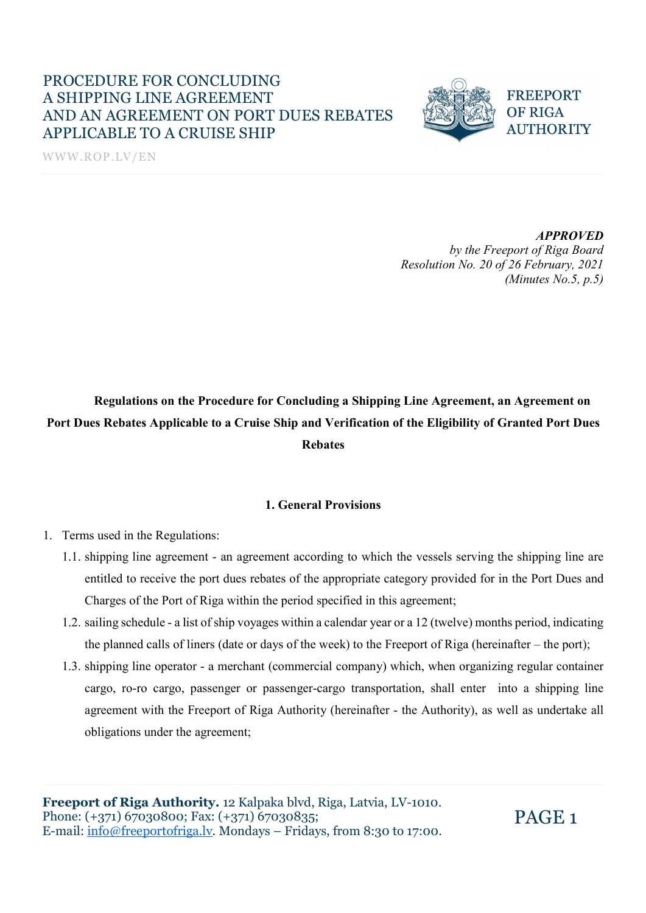WWW.ROP.LV/EN



#### APPROVED

 by the Freeport of Riga Board Resolution No. 20 of 26 February, 2021 (Minutes No.5, p.5)

# Regulations on the Procedure for Concluding a Shipping Line Agreement, an Agreement on Port Dues Rebates Applicable to a Cruise Ship and Verification of the Eligibility of Granted Port Dues Rebates

#### 1. General Provisions

- 1. Terms used in the Regulations:
	- 1.1. shipping line agreement an agreement according to which the vessels serving the shipping line are entitled to receive the port dues rebates of the appropriate category provided for in the Port Dues and Charges of the Port of Riga within the period specified in this agreement;
	- 1.2. sailing schedule a list of ship voyages within a calendar year or a 12 (twelve) months period, indicating the planned calls of liners (date or days of the week) to the Freeport of Riga (hereinafter – the port);
	- 1.3. shipping line operator a merchant (commercial company) which, when organizing regular container cargo, ro-ro cargo, passenger or passenger-cargo transportation, shall enter into a shipping line agreement with the Freeport of Riga Authority (hereinafter - the Authority), as well as undertake all obligations under the agreement;

Freeport of Riga Authority. 12 Kalpaka blvd, Riga, Latvia, LV-1010. Phone: (+371) 67030800; Fax: (+371) 67030835; E-mail: info@freeportofriga.lv. Mondays – Fridays, from 8:30 to 17:00.

PAGE 1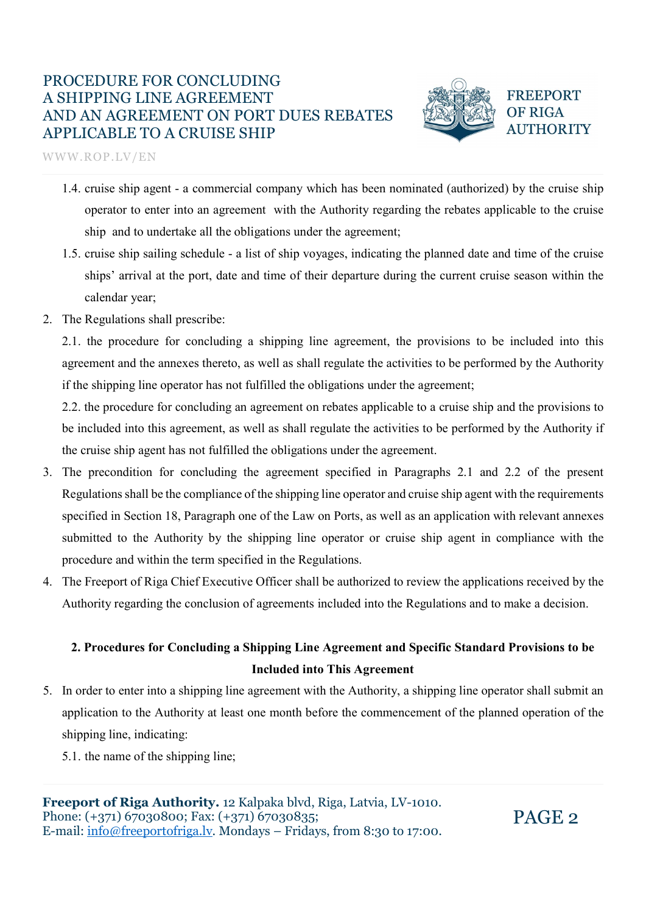

WWW.ROP.LV/EN

- 1.4. cruise ship agent a commercial company which has been nominated (authorized) by the cruise ship operator to enter into an agreement with the Authority regarding the rebates applicable to the cruise ship and to undertake all the obligations under the agreement;
- 1.5. cruise ship sailing schedule a list of ship voyages, indicating the planned date and time of the cruise ships' arrival at the port, date and time of their departure during the current cruise season within the calendar year;
- 2. The Regulations shall prescribe:

2.1. the procedure for concluding a shipping line agreement, the provisions to be included into this agreement and the annexes thereto, as well as shall regulate the activities to be performed by the Authority if the shipping line operator has not fulfilled the obligations under the agreement;

2.2. the procedure for concluding an agreement on rebates applicable to a cruise ship and the provisions to be included into this agreement, as well as shall regulate the activities to be performed by the Authority if the cruise ship agent has not fulfilled the obligations under the agreement.

- 3. The precondition for concluding the agreement specified in Paragraphs 2.1 and 2.2 of the present Regulations shall be the compliance of the shipping line operator and cruise ship agent with the requirements specified in Section 18, Paragraph one of the Law on Ports, as well as an application with relevant annexes submitted to the Authority by the shipping line operator or cruise ship agent in compliance with the procedure and within the term specified in the Regulations.
- 4. The Freeport of Riga Chief Executive Officer shall be authorized to review the applications received by the Authority regarding the conclusion of agreements included into the Regulations and to make a decision.

## 2. Procedures for Concluding a Shipping Line Agreement and Specific Standard Provisions to be Included into This Agreement

- 5. In order to enter into a shipping line agreement with the Authority, a shipping line operator shall submit an application to the Authority at least one month before the commencement of the planned operation of the shipping line, indicating:
	- 5.1. the name of the shipping line;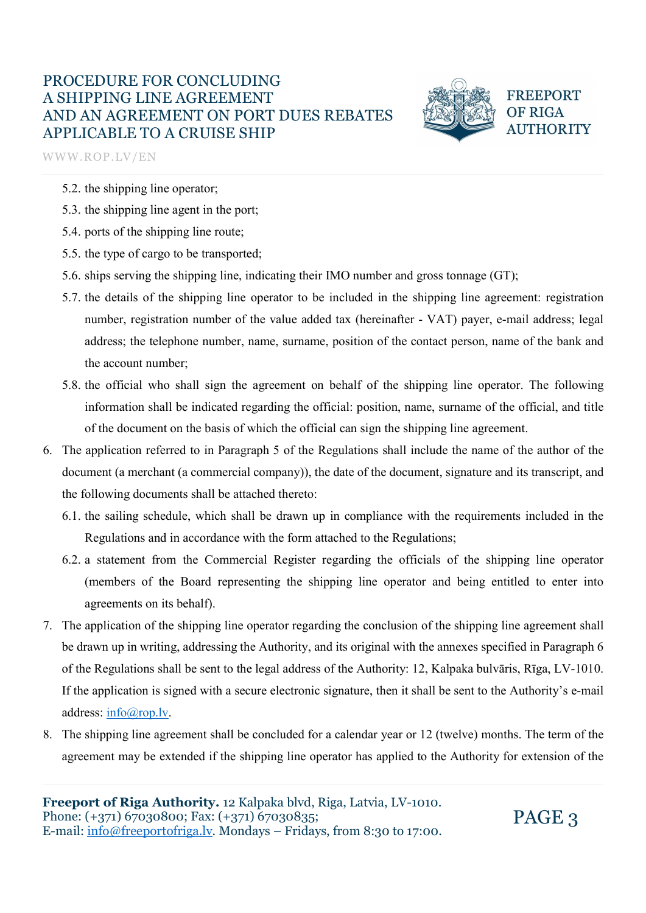

**FREEPORT OF RIGA AUTHORITY** 

WWW.ROP.LV/EN

- 5.2. the shipping line operator;
- 5.3. the shipping line agent in the port;
- 5.4. ports of the shipping line route;
- 5.5. the type of cargo to be transported;
- 5.6. ships serving the shipping line, indicating their IMO number and gross tonnage (GT);
- 5.7. the details of the shipping line operator to be included in the shipping line agreement: registration number, registration number of the value added tax (hereinafter - VAT) payer, e-mail address; legal address; the telephone number, name, surname, position of the contact person, name of the bank and the account number;
- 5.8. the official who shall sign the agreement on behalf of the shipping line operator. The following information shall be indicated regarding the official: position, name, surname of the official, and title of the document on the basis of which the official can sign the shipping line agreement.
- 6. The application referred to in Paragraph 5 of the Regulations shall include the name of the author of the document (a merchant (a commercial company)), the date of the document, signature and its transcript, and the following documents shall be attached thereto:
	- 6.1. the sailing schedule, which shall be drawn up in compliance with the requirements included in the Regulations and in accordance with the form attached to the Regulations;
	- 6.2. a statement from the Commercial Register regarding the officials of the shipping line operator (members of the Board representing the shipping line operator and being entitled to enter into agreements on its behalf).
- 7. The application of the shipping line operator regarding the conclusion of the shipping line agreement shall be drawn up in writing, addressing the Authority, and its original with the annexes specified in Paragraph 6 of the Regulations shall be sent to the legal address of the Authority: 12, Kalpaka bulvāris, Rīga, LV-1010. If the application is signed with a secure electronic signature, then it shall be sent to the Authority's e-mail address:  $\frac{info(\partial_{\text{top}}) \cdot \mathbf{v}}{i}$ .<br>8. The shipping line agreement shall be concluded for a calendar year or 12 (twelve) months. The term of the
- agreement may be extended if the shipping line operator has applied to the Authority for extension of the

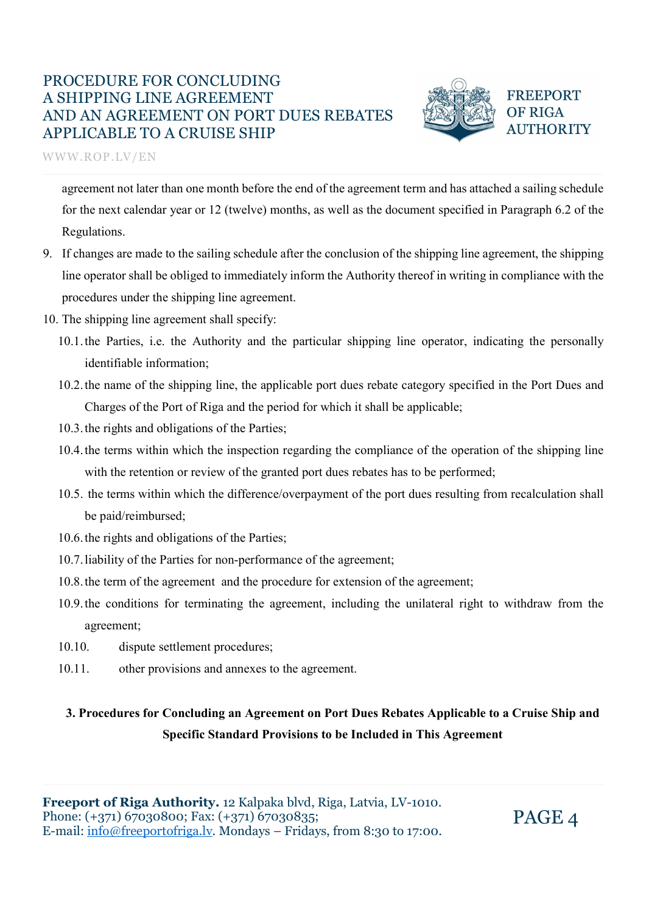

**FREEPORT OF RIGA AUTHORITY** 

WWW.ROP.LV/EN

agreement not later than one month before the end of the agreement term and has attached a sailing schedule for the next calendar year or 12 (twelve) months, as well as the document specified in Paragraph 6.2 of the Regulations.

- 9. If changes are made to the sailing schedule after the conclusion of the shipping line agreement, the shipping line operator shall be obliged to immediately inform the Authority thereof in writing in compliance with the procedures under the shipping line agreement.
- 10. The shipping line agreement shall specify:
	- 10.1.the Parties, i.e. the Authority and the particular shipping line operator, indicating the personally identifiable information;
	- 10.2.the name of the shipping line, the applicable port dues rebate category specified in the Port Dues and Charges of the Port of Riga and the period for which it shall be applicable;
	- 10.3.the rights and obligations of the Parties;
	- 10.4.the terms within which the inspection regarding the compliance of the operation of the shipping line with the retention or review of the granted port dues rebates has to be performed;
	- 10.5. the terms within which the difference/overpayment of the port dues resulting from recalculation shall be paid/reimbursed;
	- 10.6.the rights and obligations of the Parties;
	- 10.7.liability of the Parties for non-performance of the agreement;
	- 10.8.the term of the agreement and the procedure for extension of the agreement;
	- 10.9.the conditions for terminating the agreement, including the unilateral right to withdraw from the agreement;
	- 10.10. dispute settlement procedures;
	- 10.11. other provisions and annexes to the agreement.

## 3. Procedures for Concluding an Agreement on Port Dues Rebates Applicable to a Cruise Ship and Specific Standard Provisions to be Included in This Agreement

Freeport of Riga Authority. 12 Kalpaka blvd, Riga, Latvia, LV-1010. Phone: (+371) 67030800; Fax: (+371) 67030835; Phone:  $(+371)$  67030800; Fax:  $(+371)$  67030835;<br>E-mail: <u>info@freeportofriga.lv</u>. Mondays – Fridays, from 8:30 to 17:00. PAGE 4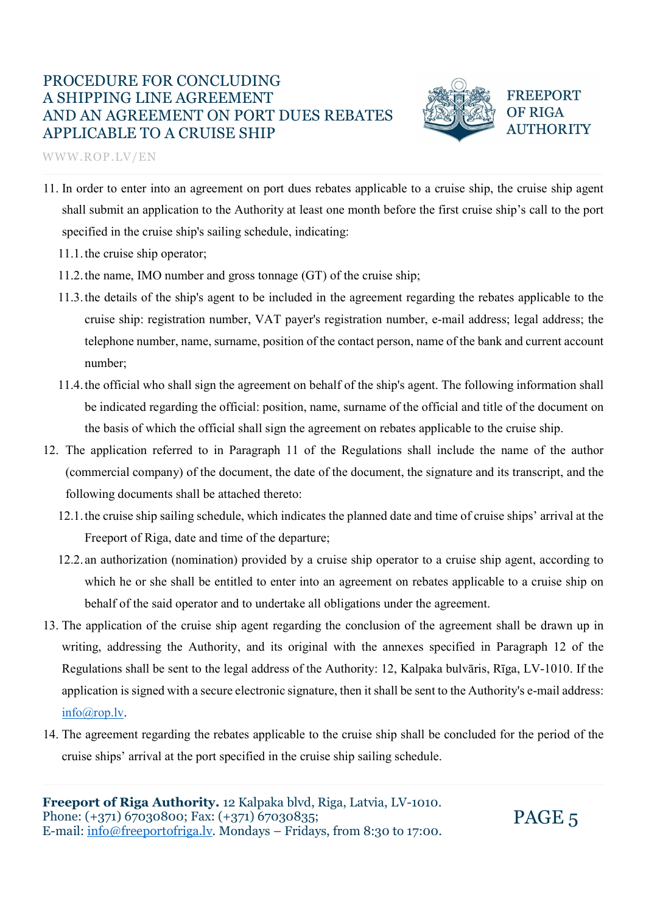WWW.ROP.LV/EN



**FREEPORT OF RIGA AUTHORITY** 

- 11. In order to enter into an agreement on port dues rebates applicable to a cruise ship, the cruise ship agent shall submit an application to the Authority at least one month before the first cruise ship's call to the port specified in the cruise ship's sailing schedule, indicating:
	- 11.1.the cruise ship operator;
	- 11.2.the name, IMO number and gross tonnage (GT) of the cruise ship;
	- 11.3.the details of the ship's agent to be included in the agreement regarding the rebates applicable to the cruise ship: registration number, VAT payer's registration number, e-mail address; legal address; the telephone number, name, surname, position of the contact person, name of the bank and current account number;
	- 11.4.the official who shall sign the agreement on behalf of the ship's agent. The following information shall be indicated regarding the official: position, name, surname of the official and title of the document on the basis of which the official shall sign the agreement on rebates applicable to the cruise ship.
- 12. The application referred to in Paragraph 11 of the Regulations shall include the name of the author (commercial company) of the document, the date of the document, the signature and its transcript, and the following documents shall be attached thereto:
	- 12.1.the cruise ship sailing schedule, which indicates the planned date and time of cruise ships' arrival at the Freeport of Riga, date and time of the departure;
	- 12.2. an authorization (nomination) provided by a cruise ship operator to a cruise ship agent, according to which he or she shall be entitled to enter into an agreement on rebates applicable to a cruise ship on behalf of the said operator and to undertake all obligations under the agreement.
- 13. The application of the cruise ship agent regarding the conclusion of the agreement shall be drawn up in writing, addressing the Authority, and its original with the annexes specified in Paragraph 12 of the Regulations shall be sent to the legal address of the Authority: 12, Kalpaka bulvāris, Rīga, LV-1010. If the application is signed with a secure electronic signature, then it shall be sent to the Authority's e-mail address:  $\frac{\text{info}(\omega_{\text{rop}}) \cdot \text{lv}}{14}$ . The agreement regarding the rebates applicable to the cruise ship shall be concluded for the period of the
- cruise ships' arrival at the port specified in the cruise ship sailing schedule.

Freeport of Riga Authority. 12 Kalpaka blvd, Riga, Latvia, LV-1010. Phone: (+371) 67030800; Fax: (+371) 67030835; Phone:  $(+371)$  67030800; Fax:  $(+371)$  67030835;<br>E-mail: info@freeportofriga.lv. Mondays – Fridays, from 8:30 to 17:00.  $PAGE \, 5$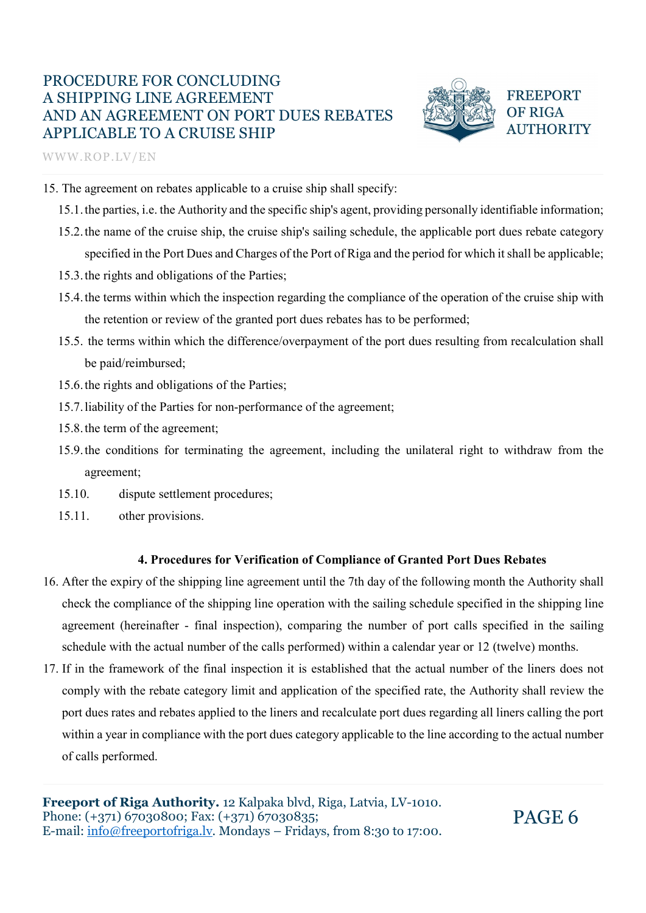WWW.ROP.LV/EN



**FREEPORT OF RIGA AUTHORITY** 

PAGE 6

- 15. The agreement on rebates applicable to a cruise ship shall specify:
	- 15.1.the parties, i.e. the Authority and the specific ship's agent, providing personally identifiable information;
	- 15.2.the name of the cruise ship, the cruise ship's sailing schedule, the applicable port dues rebate category specified in the Port Dues and Charges of the Port of Riga and the period for which it shall be applicable;
	- 15.3.the rights and obligations of the Parties;
	- 15.4.the terms within which the inspection regarding the compliance of the operation of the cruise ship with the retention or review of the granted port dues rebates has to be performed;
	- 15.5. the terms within which the difference/overpayment of the port dues resulting from recalculation shall be paid/reimbursed;
	- 15.6.the rights and obligations of the Parties;
	- 15.7.liability of the Parties for non-performance of the agreement;
	- 15.8.the term of the agreement;
	- 15.9.the conditions for terminating the agreement, including the unilateral right to withdraw from the agreement;
	- 15.10. dispute settlement procedures;
	- 15.11. other provisions.

#### 4. Procedures for Verification of Compliance of Granted Port Dues Rebates

- 16. After the expiry of the shipping line agreement until the 7th day of the following month the Authority shall check the compliance of the shipping line operation with the sailing schedule specified in the shipping line agreement (hereinafter - final inspection), comparing the number of port calls specified in the sailing schedule with the actual number of the calls performed) within a calendar year or 12 (twelve) months.
- 17. If in the framework of the final inspection it is established that the actual number of the liners does not comply with the rebate category limit and application of the specified rate, the Authority shall review the port dues rates and rebates applied to the liners and recalculate port dues regarding all liners calling the port within a year in compliance with the port dues category applicable to the line according to the actual number of calls performed.

Freeport of Riga Authority. 12 Kalpaka blvd, Riga, Latvia, LV-1010. Phone: (+371) 67030800; Fax: (+371) 67030835; E-mail: info@freeportofriga.lv. Mondays – Fridays, from 8:30 to 17:00.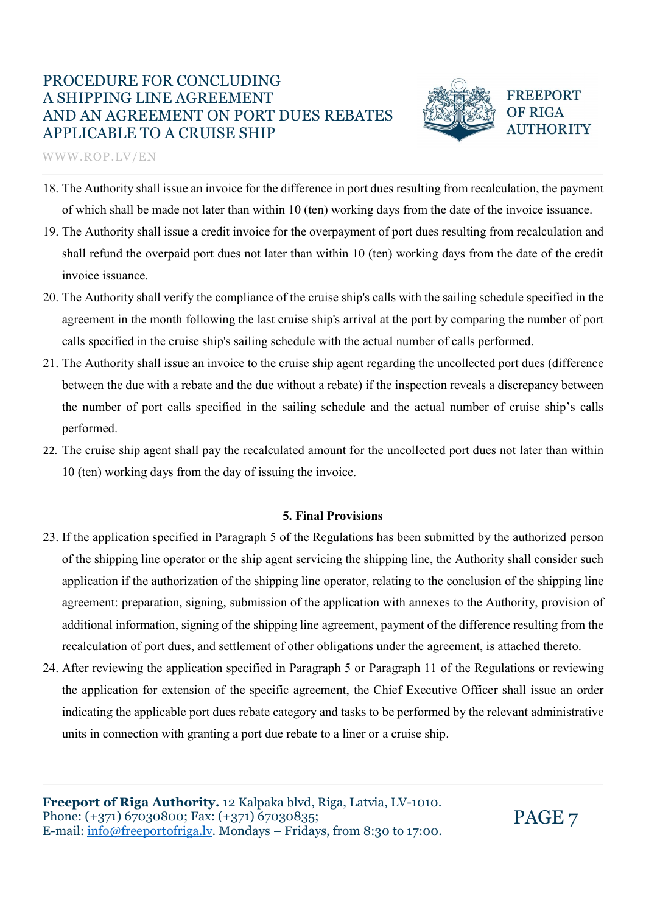

**FREEPORT OF RIGA AUTHORITY** 

WWW.ROP.LV/EN

- 18. The Authority shall issue an invoice for the difference in port dues resulting from recalculation, the payment of which shall be made not later than within 10 (ten) working days from the date of the invoice issuance.
- 19. The Authority shall issue a credit invoice for the overpayment of port dues resulting from recalculation and shall refund the overpaid port dues not later than within 10 (ten) working days from the date of the credit invoice issuance.
- 20. The Authority shall verify the compliance of the cruise ship's calls with the sailing schedule specified in the agreement in the month following the last cruise ship's arrival at the port by comparing the number of port calls specified in the cruise ship's sailing schedule with the actual number of calls performed.
- 21. The Authority shall issue an invoice to the cruise ship agent regarding the uncollected port dues (difference between the due with a rebate and the due without a rebate) if the inspection reveals a discrepancy between the number of port calls specified in the sailing schedule and the actual number of cruise ship's calls performed.
- 22. The cruise ship agent shall pay the recalculated amount for the uncollected port dues not later than within 10 (ten) working days from the day of issuing the invoice.

#### 5. Final Provisions

- 23. If the application specified in Paragraph 5 of the Regulations has been submitted by the authorized person of the shipping line operator or the ship agent servicing the shipping line, the Authority shall consider such application if the authorization of the shipping line operator, relating to the conclusion of the shipping line agreement: preparation, signing, submission of the application with annexes to the Authority, provision of additional information, signing of the shipping line agreement, payment of the difference resulting from the recalculation of port dues, and settlement of other obligations under the agreement, is attached thereto.
- 24. After reviewing the application specified in Paragraph 5 or Paragraph 11 of the Regulations or reviewing the application for extension of the specific agreement, the Chief Executive Officer shall issue an order indicating the applicable port dues rebate category and tasks to be performed by the relevant administrative units in connection with granting a port due rebate to a liner or a cruise ship.

Freeport of Riga Authority. 12 Kalpaka blvd, Riga, Latvia, LV-1010. Phone: (+371) 67030800; Fax: (+371) 67030835; Phone:  $(+371)$  67030800; Fax:  $(+371)$  67030835;<br>E-mail: info@freeportofriga.lv. Mondays – Fridays, from 8:30 to 17:00.  $PAGE$  7